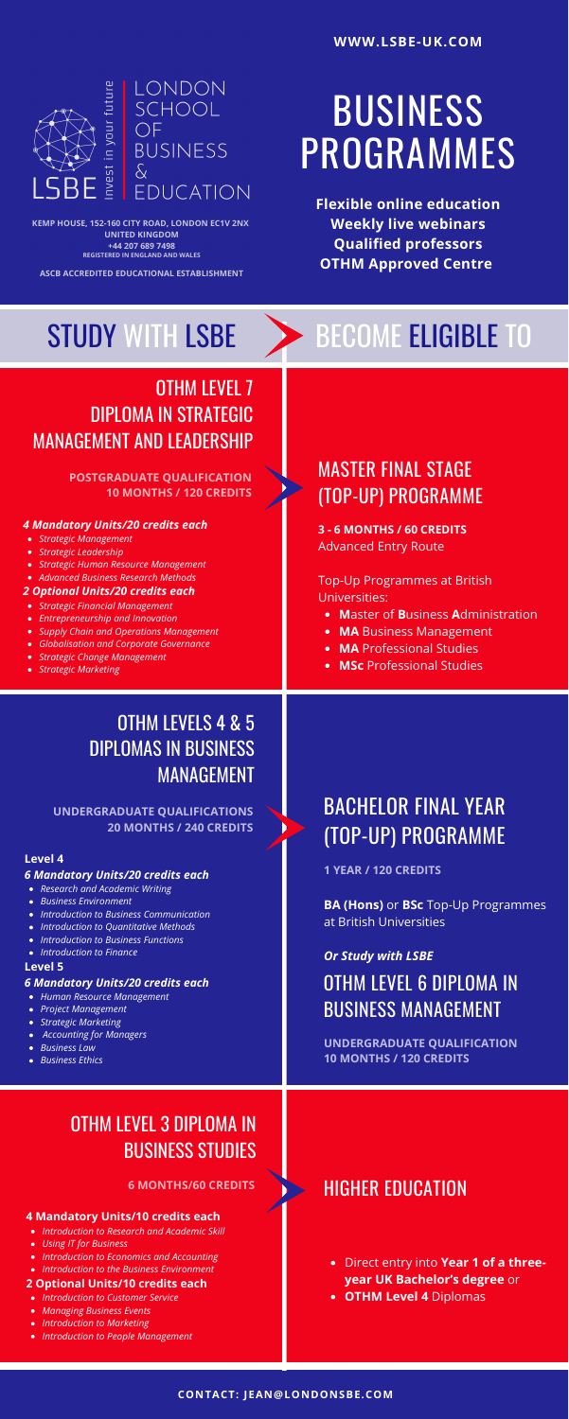# BUSINESS PROGRAMMES

**WWW.LSBE-UK.COM**



**Flexible online education Weekly live webinars Qualified professors OTHM Approved Centre**

## STUDY WITH LSBE > BECOME ELIGIBLE TO

### **CONTACT: JEAN@LONDONSBE.COM**

### HIGHER EDUCATION

- Direct entry into **Year 1 of a threeyear UK Bachelor's degree** or
- **OTHM Level 4** Diplomas

### OTHM LEVEL 7 DIPLOMA IN STRATEGIC MANAGEMENT AND LEADERSHIP

- *Strategic Management*
- *Strategic Leadership*
- *Strategic Human Resource Management*
- *Advanced Business Research Methods*

- *Strategic Financial Management*
- *Entrepreneurship and Innovation*
- *Supply Chain and Operations Management*
- *Globalisation and Corporate Governance*
- *Strategic Change Management*
- *Strategic Marketing*

### *4 Mandatory Units/20 credits each*

#### *2 Optional Units/20 credits each*

### **POSTGRADUATE QUALIFICATION 10 MONTHS / 120 CREDITS**

### OTHM LEVEL 3 DIPLOMA IN BUSINESS STUDIES

- *Introduction to Research and Academic Skill*
- *Using IT for Business*
- *Introduction to Economics and Accounting*
- *Introduction to the Business Environment*

- *Introduction to Customer Service*
- *Managing Business Events*
- *Introduction to Marketing*
- *Introduction to People Management*

### **4 Mandatory Units/10 credits each**

#### **2 Optional Units/10 credits each**

### **6 MONTHS/60 CREDITS**

### MASTER FINAL STAGE (TOP-UP) PROGRAMME

- **M**aster of **B**usiness **A**dministration
- **MA** Business Management
- **MA** Professional Studies
- **MSc** Professional Studies

**3 - 6 MONTHS / 60 CREDITS** Advanced Entry Route

Top-Up Programmes at British Universities:

BACHELOR FINAL YEAR (TOP-UP) PROGRAMME

### **BA (Hons)** or **BSc** Top-Up Programmes at British Universities

### *Or Study with LSBE*

### **1 YEAR / 120 CREDITS**

### OTHM LEVELS 4 & 5 DIPLOMAS IN BUSINESS MANAGEMENT

- *Research and Academic Writing*
- *Business Environment*
- *Introduction to Business Communication*
- *Introduction to Quantitative Methods*
- *Introduction to Business Functions*
- *Introduction to Finance*

- *Human Resource Management*
- *Project Management*
- *Strategic Marketing*
- *Accounting for Managers*
- *Business Law*
- *Business Ethics*

#### **Level 4**

### *6 Mandatory Units/20 credits each*

#### **Level 5**

#### *6 Mandatory Units/20 credits each*

**UNDERGRADUATE QUALIFICATIONS 20 MONTHS / 240 CREDITS**

### OTHM LEVEL 6 DIPLOMA IN BUSINESS MANAGEMENT

### **UNDERGRADUATE QUALIFICATION 10 MONTHS / 120 CREDITS**

**KEMP HOUSE, 152-160 CITY ROAD, LONDON EC1V 2NX UNITED KINGDOM +44 207 689 7498 REGISTERED IN ENGLAND AND WALES**

**ASCB ACCREDITED EDUCATIONAL ESTABLISHMENT**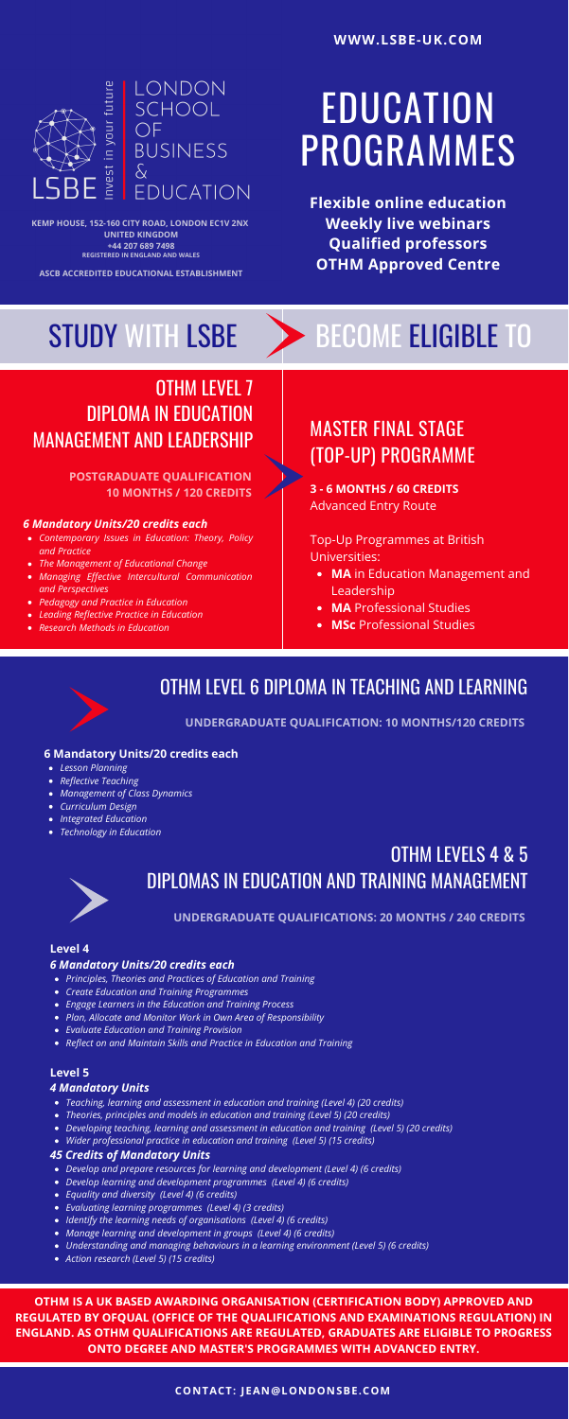# **EDUCATION** PROGRAMMES

**WWW.LSBE-UK.COM**



**Flexible online education Weekly live webinars Qualified professors OTHM Approved Centre**

## STUDY WITH LSBE > BECOME ELIGIBLE TO

### OTHM LEVEL 7 DIPLOMA IN EDUCATION MANAGEMENT AND LEADERSHIP

- *Contemporary Issues in Education: Theory, Policy and Practice*
- *The Management of Educational Change*
- *Managing Effective Intercultural Communication and Perspectives*
- *Pedagogy and Practice in Education*
- *Leading Reflective Practice in Education*
- *Research Methods in Education*

### *6 Mandatory Units/20 credits each*

### **POSTGRADUATE QUALIFICATION 10 MONTHS / 120 CREDITS**

### MASTER FINAL STAGE (TOP-UP) PROGRAMME

- **MA** in Education Management and Leadership
- **MA** Professional Studies
- **MSc** Professional Studies

**3 - 6 MONTHS / 60 CREDITS** Advanced Entry Route

Top-Up Programmes at British Universities:

### OTHM LEVEL 6 DIPLOMA IN TEACHING AND LEARNING

- *Lesson Planning*
- *Reflective Teaching*
- *Management of Class Dynamics*
- *Curriculum Design*
- *Integrated Education*
- *Technology in Education*

### **6 Mandatory Units/20 credits each**

**UNDERGRADUATE QUALIFICATION: 10 MONTHS/120 CREDITS**

### OTHM LEVELS 4 & 5 DIPLOMAS IN EDUCATION AND TRAINING MANAGEMENT



- *Principles, Theories and Practices of Education and Training*
- *Create Education and Training Programmes*
- *Engage Learners in the Education and Training Process*
- *Plan, Allocate and Monitor Work in Own Area of Responsibility*
- *Evaluate Education and Training Provision*
- *Reflect on and Maintain Skills and Practice in Education and Training*

- *Teaching, learning and assessment in education and training (Level 4) (20 credits)*
- *Theories, principles and models in education and training (Level 5) (20 credits)*
- *Developing teaching, learning and assessment in education and training (Level 5) (20 credits)*
- *Wider professional practice in education and training (Level 5) (15 credits)*

- *Develop and prepare resources for learning and development (Level 4) (6 credits)*
- *Develop learning and development programmes (Level 4) (6 credits)*
- *Equality and diversity (Level 4) (6 credits)*
- *Evaluating learning programmes (Level 4) (3 credits)*
- *Identify the learning needs of organisations (Level 4) (6 credits)*
- *Manage learning and development in groups (Level 4) (6 credits)*
- *Understanding and managing behaviours in a learning environment (Level 5) (6 credits)*
- *Action research (Level 5) (15 credits)*

#### **Level 4**

#### *6 Mandatory Units/20 credits each*

### **Level 5**

### *4 Mandatory Units*

### *45 Credits of Mandatory Units*

### **UNDERGRADUATE QUALIFICATIONS: 20 MONTHS / 240 CREDITS**

**OTHM IS A UK BASED AWARDING ORGANISATION (CERTIFICATION BODY) APPROVED AND REGULATED BY OFQUAL (OFFICE OF THE QUALIFICATIONS AND EXAMINATIONS REGULATION) IN ENGLAND. AS OTHM QUALIFICATIONS ARE REGULATED, GRADUATES ARE ELIGIBLE TO PROGRESS ONTO DEGREE AND MASTER'S PROGRAMMES WITH ADVANCED ENTRY.**

**KEMP HOUSE, 152-160 CITY ROAD, LONDON EC1V 2NX UNITED KINGDOM +44 207 689 7498 REGISTERED IN ENGLAND AND WALES**

**ASCB ACCREDITED EDUCATIONAL ESTABLISHMENT**